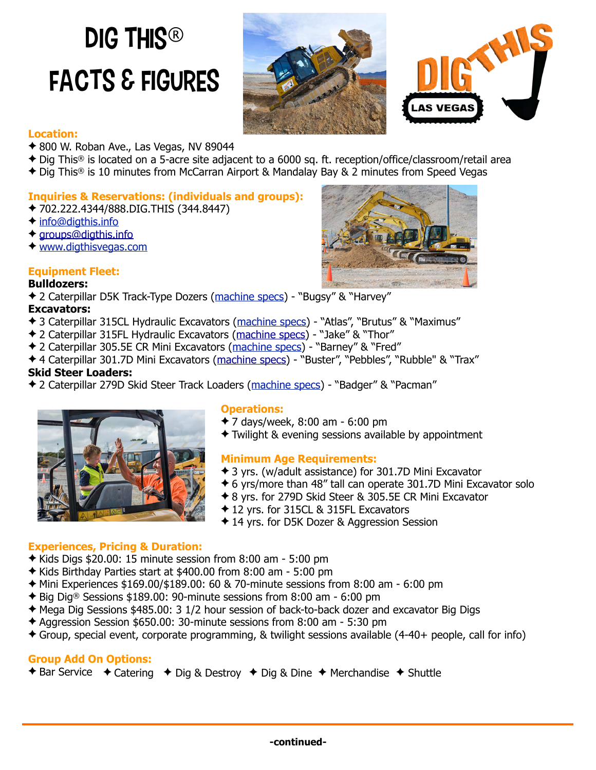# DIG THIS<sup>®</sup> Facts & Figures





#### **Location:**

- ✦ 800 W. Roban Ave., Las Vegas, NV 89044
- ✦ Dig This® is located on a 5-acre site adjacent to a 6000 sq. ft. reception/office/classroom/retail area
- ✦ Dig This® is 10 minutes from McCarran Airport & Mandalay Bay & 2 minutes from Speed Vegas

# **Inquiries & Reservations: (individuals and groups):**

- ✦ 702.222.4344/888.DIG.THIS (344.8447)
- ✦ [info@digthis.info](mailto:info@digthis.info)
- ◆ [groups@digthis.info](mailto:groups@digthis.info)
- ✦ [www.digthisvegas.com](http://www.digthisvegas.com)

# **Equipment Fleet:**

# **Bulldozers:**

✦ 2 Caterpillar D5K Track-Type Dozers ([machine specs\)](https://www.cat.com/en_US/products/new/equipment/dozers/small-dozers/1000001276.html) - "Bugsy" & "Harvey"

#### **Excavators:**

- ✦ 3 Caterpillar 315CL Hydraulic Excavators ([machine specs\)](http://www.ritchiespecs.com/specification?category=Hydraulic%20Excavator&make=CATERPILLAR&model=315cl&modelid=92314) "Atlas", "Brutus" & "Maximus"
- ✦ 2 Caterpillar 315FL Hydraulic Excavators ([machine specs\)](https://www.cat.com/en_US/products/new/equipment/excavators/small-excavators/1000026703.html) "Jake" & "Thor"
- ✦ 2 Caterpillar 305.5E CR Mini Excavators ([machine specs\)](http://www.cat.com/en_US/products/new/equipment/excavators/mini-excavators/1000019860.html) "Barney" & "Fred"
- **↑ 4 Caterpillar 301.7D Mini Excavators ([machine specs\)](https://www.cat.com/en_US/products/new/equipment/excavators/mini-excavators/18367292.html) "Buster", "Pebbles", "Rubble" & "Trax" Skid Steer Loaders:**
- ✦ 2 Caterpillar 279D Skid Steer Track Loaders ([machine specs\)](http://www.cat.com/en_US/products/new/equipment/compact-track-and-multi-terrain-loaders/compact-track-loaders/18484354.html) "Badger" & "Pacman"



#### **Operations:**

- ✦ 7 days/week, 8:00 am 6:00 pm
- ✦ Twilight & evening sessions available by appointment

#### **Minimum Age Requirements:**

- ✦ 3 yrs. (w/adult assistance) for 301.7D Mini Excavator
- ✦ 6 yrs/more than 48" tall can operate 301.7D Mini Excavator solo
- ✦ 8 yrs. for 279D Skid Steer & 305.5E CR Mini Excavator
- ✦ 12 yrs. for 315CL & 315FL Excavators
- ✦ 14 yrs. for D5K Dozer & Aggression Session

#### **Experiences, Pricing & Duration:**

- ✦ Kids Digs \$20.00: 15 minute session from 8:00 am 5:00 pm
- ✦ Kids Birthday Parties start at \$400.00 from 8:00 am 5:00 pm
- $\triangleq$  Mini Experiences \$169.00/\$189.00: 60 & 70-minute sessions from 8:00 am 6:00 pm
- ✦ Big Dig® Sessions \$189.00: 90-minute sessions from 8:00 am 6:00 pm
- ✦ Mega Dig Sessions \$485.00: 3 1/2 hour session of back-to-back dozer and excavator Big Digs
- ✦ Aggression Session \$650.00: 30-minute sessions from 8:00 am 5:30 pm
- ✦ Group, special event, corporate programming, & twilight sessions available (4-40+ people, call for info)

# **Group Add On Options:**

✦ Bar Service ✦ Catering ✦ Dig & Destroy ✦ Dig & Dine ✦ Merchandise ✦ Shuttle